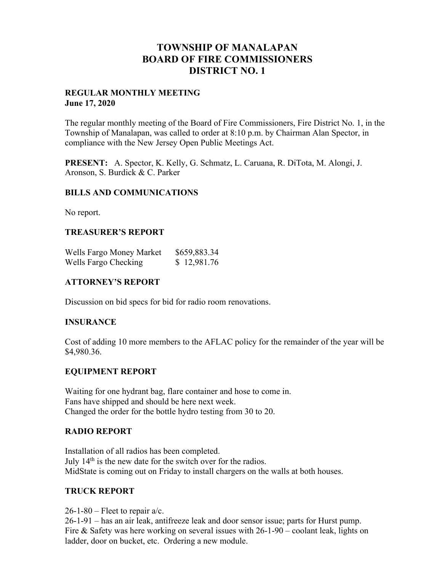## **TOWNSHIP OF MANALAPAN BOARD OF FIRE COMMISSIONERS DISTRICT NO. 1**

#### **REGULAR MONTHLY MEETING June 17, 2020**

The regular monthly meeting of the Board of Fire Commissioners, Fire District No. 1, in the Township of Manalapan, was called to order at 8:10 p.m. by Chairman Alan Spector, in compliance with the New Jersey Open Public Meetings Act.

**PRESENT:** A. Spector, K. Kelly, G. Schmatz, L. Caruana, R. DiTota, M. Alongi, J. Aronson, S. Burdick & C. Parker

#### **BILLS AND COMMUNICATIONS**

No report.

#### **TREASURER'S REPORT**

| Wells Fargo Money Market | \$659,883.34 |
|--------------------------|--------------|
| Wells Fargo Checking     | \$12,981.76  |

#### **ATTORNEY'S REPORT**

Discussion on bid specs for bid for radio room renovations.

#### **INSURANCE**

Cost of adding 10 more members to the AFLAC policy for the remainder of the year will be \$4,980.36.

#### **EQUIPMENT REPORT**

Waiting for one hydrant bag, flare container and hose to come in. Fans have shipped and should be here next week. Changed the order for the bottle hydro testing from 30 to 20.

#### **RADIO REPORT**

Installation of all radios has been completed. July 14<sup>th</sup> is the new date for the switch over for the radios. MidState is coming out on Friday to install chargers on the walls at both houses.

#### **TRUCK REPORT**

 $26-1-80$  – Fleet to repair a/c.

26-1-91 – has an air leak, antifreeze leak and door sensor issue; parts for Hurst pump. Fire & Safety was here working on several issues with  $26-1-90$  – coolant leak, lights on ladder, door on bucket, etc. Ordering a new module.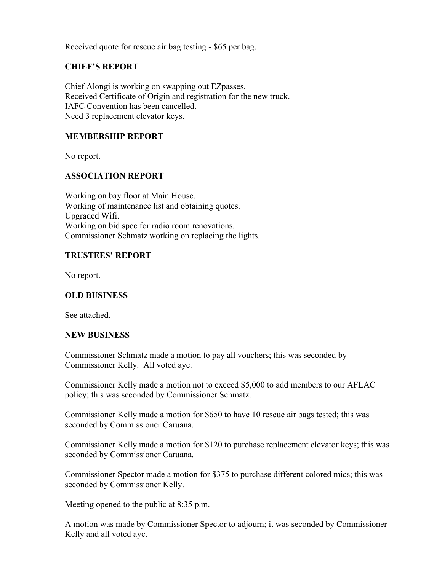Received quote for rescue air bag testing - \$65 per bag.

## **CHIEF'S REPORT**

Chief Alongi is working on swapping out EZpasses. Received Certificate of Origin and registration for the new truck. IAFC Convention has been cancelled. Need 3 replacement elevator keys.

### **MEMBERSHIP REPORT**

No report.

## **ASSOCIATION REPORT**

Working on bay floor at Main House. Working of maintenance list and obtaining quotes. Upgraded Wifi. Working on bid spec for radio room renovations. Commissioner Schmatz working on replacing the lights.

## **TRUSTEES' REPORT**

No report.

## **OLD BUSINESS**

See attached.

#### **NEW BUSINESS**

Commissioner Schmatz made a motion to pay all vouchers; this was seconded by Commissioner Kelly. All voted aye.

Commissioner Kelly made a motion not to exceed \$5,000 to add members to our AFLAC policy; this was seconded by Commissioner Schmatz.

Commissioner Kelly made a motion for \$650 to have 10 rescue air bags tested; this was seconded by Commissioner Caruana.

Commissioner Kelly made a motion for \$120 to purchase replacement elevator keys; this was seconded by Commissioner Caruana.

Commissioner Spector made a motion for \$375 to purchase different colored mics; this was seconded by Commissioner Kelly.

Meeting opened to the public at 8:35 p.m.

A motion was made by Commissioner Spector to adjourn; it was seconded by Commissioner Kelly and all voted aye.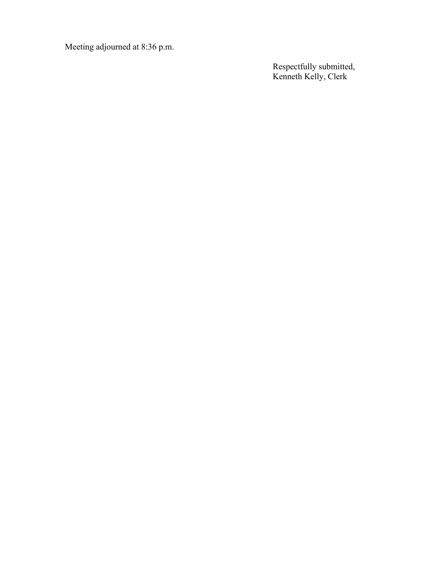Meeting adjourned at 8:36 p.m.

**Respectfully submitted,** Kenneth Kelly, Clerk